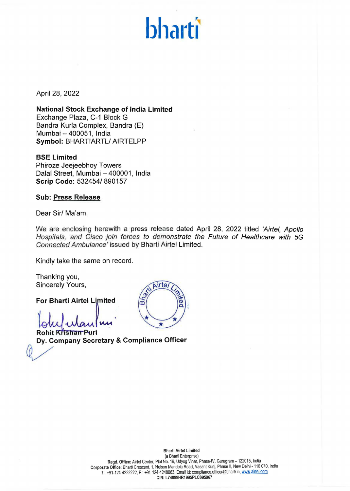# **bharti**

April 28, 2022

**National Stock Exchange of India Limited**  Exchange Plaza, C-1 Block G Bandra Kurla Complex, Sandra (E) Mumbai - 400051, India **Symbol:** BHARTIARTL/ AIRTELPP

### **BSE Limited**

Phiroze Jeejeebhoy Towers Dalal Street, Mumbai - 400001, India **Scrip Code:** 532454/ 890157

**Sub: Press Release** 

**Dear Sir/ Ma'am,** 

We are enclosing herewith a press release dated April 28, 2022 titled 'Airtel, Apollo Hospitals, and Cisco join forces to demonstrate the Future of Healthcare with 5G Connected Ambulance' issued by Bharti Airtel Limited.

Kindly take the same on record.

Thanking you, Sincerely Yours,

**For Bharti Airtel Limited** 

 $\int$ ohut wanter with

Airte,  $\widehat{Bh_{\beta}}$ 

**blufulantum**<br> **Dy. Company Secretary & Compliance Officer**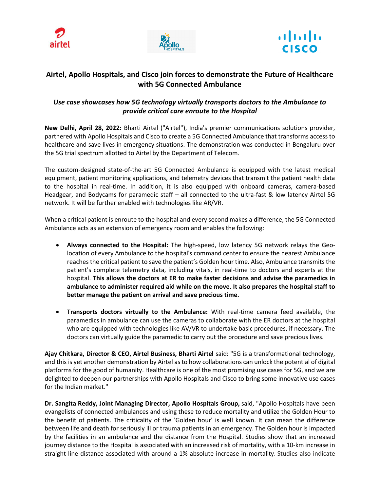





# **Airtel, Apollo Hospitals, and Cisco join forces to demonstrate the Future of Healthcare with 5G Connected Ambulance**

## *Use case showcases how 5G technology virtually transports doctors to the Ambulance to provide critical care enroute to the Hospital*

**New Delhi, April 28, 2022:** Bharti Airtel ("Airtel"), India's premier communications solutions provider, partnered with Apollo Hospitals and Cisco to create a 5G Connected Ambulance that transforms access to healthcare and save lives in emergency situations. The demonstration was conducted in Bengaluru over the 5G trial spectrum allotted to Airtel by the Department of Telecom.

The custom-designed state-of-the-art 5G Connected Ambulance is equipped with the latest medical equipment, patient monitoring applications, and telemetry devices that transmit the patient health data to the hospital in real-time. In addition, it is also equipped with onboard cameras, camera-based Headgear, and Bodycams for paramedic staff – all connected to the ultra-fast & low latency Airtel 5G network. It will be further enabled with technologies like AR/VR.

When a critical patient is enroute to the hospital and every second makes a difference, the 5G Connected Ambulance acts as an extension of emergency room and enables the following:

- **Always connected to the Hospital:** The high-speed, low latency 5G network relays the Geolocation of every Ambulance to the hospital's command center to ensure the nearest Ambulance reaches the critical patient to save the patient's Golden hour time. Also, Ambulance transmits the patient's complete telemetry data, including vitals, in real-time to doctors and experts at the hospital. **This allows the doctors at ER to make faster decisions and advise the paramedics in ambulance to administer required aid while on the move. It also prepares the hospital staff to better manage the patient on arrival and save precious time.**
- **Transports doctors virtually to the Ambulance:** With real-time camera feed available, the paramedics in ambulance can use the cameras to collaborate with the ER doctors at the hospital who are equipped with technologies like AV/VR to undertake basic procedures, if necessary. The doctors can virtually guide the paramedic to carry out the procedure and save precious lives.

**Ajay Chitkara, Director & CEO, Airtel Business, Bharti Airtel** said: "5G is a transformational technology, and this is yet another demonstration by Airtel as to how collaborations can unlock the potential of digital platforms for the good of humanity. Healthcare is one of the most promising use cases for 5G, and we are delighted to deepen our partnerships with Apollo Hospitals and Cisco to bring some innovative use cases for the Indian market."

**Dr. Sangita Reddy, Joint Managing Director, Apollo Hospitals Group,** said, "Apollo Hospitals have been evangelists of connected ambulances and using these to reduce mortality and utilize the Golden Hour to the benefit of patients. The criticality of the 'Golden hour' is well known. It can mean the difference between life and death for seriously ill or trauma patients in an emergency. The Golden hour is impacted by the facilities in an ambulance and the distance from the Hospital. Studies show that an increased journey distance to the Hospital is associated with an increased risk of mortality, with a 10‐km increase in straight‐line distance associated with around a 1% absolute increase in mortality. Studies also indicate